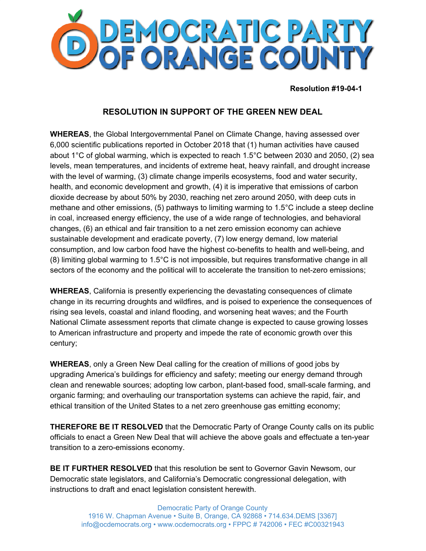

**Resolution #19-04-1**

## **RESOLUTION IN SUPPORT OF THE GREEN NEW DEAL**

**WHEREAS**, the Global Intergovernmental Panel on Climate Change, having assessed over 6,000 scientific publications reported in October 2018 that (1) human activities have caused about 1°C of global warming, which is expected to reach 1.5°C between 2030 and 2050, (2) sea levels, mean temperatures, and incidents of extreme heat, heavy rainfall, and drought increase with the level of warming, (3) climate change imperils ecosystems, food and water security, health, and economic development and growth, (4) it is imperative that emissions of carbon dioxide decrease by about 50% by 2030, reaching net zero around 2050, with deep cuts in methane and other emissions, (5) pathways to limiting warming to 1.5°C include a steep decline in coal, increased energy efficiency, the use of a wide range of technologies, and behavioral changes, (6) an ethical and fair transition to a net zero emission economy can achieve sustainable development and eradicate poverty, (7) low energy demand, low material consumption, and low carbon food have the highest co-benefits to health and well-being, and (8) limiting global warming to 1.5°C is not impossible, but requires transformative change in all sectors of the economy and the political will to accelerate the transition to net-zero emissions;

**WHEREAS**, California is presently experiencing the devastating consequences of climate change in its recurring droughts and wildfires, and is poised to experience the consequences of rising sea levels, coastal and inland flooding, and worsening heat waves; and the Fourth National Climate assessment reports that climate change is expected to cause growing losses to American infrastructure and property and impede the rate of economic growth over this century;

**WHEREAS**, only a Green New Deal calling for the creation of millions of good jobs by upgrading America's buildings for efficiency and safety; meeting our energy demand through clean and renewable sources; adopting low carbon, plant-based food, small-scale farming, and organic farming; and overhauling our transportation systems can achieve the rapid, fair, and ethical transition of the United States to a net zero greenhouse gas emitting economy;

**THEREFORE BE IT RESOLVED** that the Democratic Party of Orange County calls on its public officials to enact a Green New Deal that will achieve the above goals and effectuate a ten-year transition to a zero-emissions economy.

**BE IT FURTHER RESOLVED** that this resolution be sent to Governor Gavin Newsom, our Democratic state legislators, and California's Democratic congressional delegation, with instructions to draft and enact legislation consistent herewith.